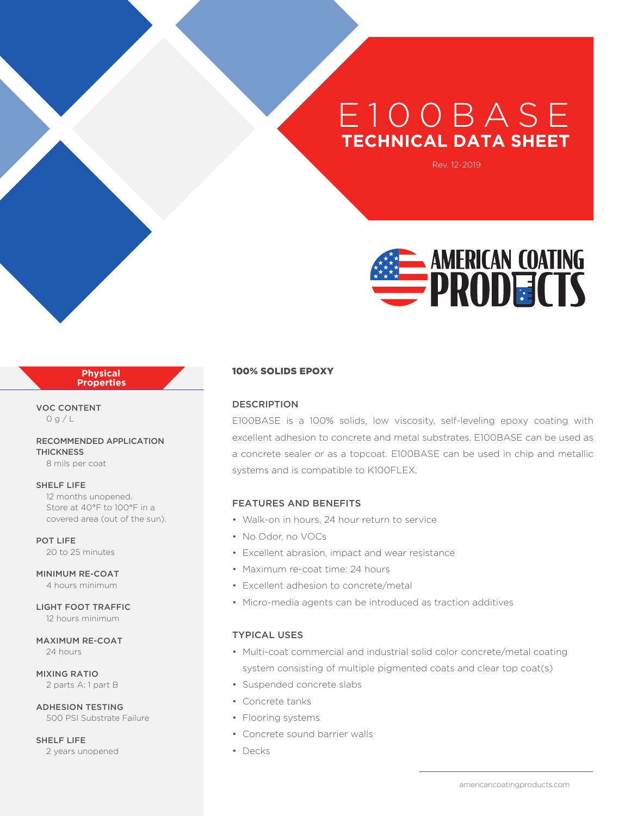# E 100B A S E **TECHNICAL DATA SHEET**

Rev. 12-2019



#### **Physical Properties**

VOC CONTENT  $O g/L$ 

RECOMMENDED APPLICATION **THICKNESS** 8 mils per coat

SHELF LIFE

12 months unopened. Store at 40°F to 100°F in a covered area (out of the sun).

POT LIFE 20 to 25 minutes

MINIMUM RE-COAT 4 hours minimum

LIGHT FOOT TRAFFIC 12 hours minimum

MAXIMUM RE-COAT 24 hours

MIXING RATIO 2 parts A; 1 part B

ADHESION TESTING 500 PSI Substrate Failure

SHELF LIFE 2 years unopened

#### 100% SOLIDS EPOXY

#### DESCRIPTION

E100BASE is a 100% solids, low viscosity, self-leveling epoxy coating with excellent adhesion to concrete and metal substrates. E100BASE can be used as a concrete sealer or as a topcoat. E100BASE can be used in chip and metallic systems and is compatible to K100FLEX.

#### FEATURES AND BENEFITS

- Walk-on in hours, 24 hour return to service
- No Odor, no VOCs
- Excellent abrasion, impact and wear resistance
- Maximum re-coat time: 24 hours
- Excellent adhesion to concrete/metal
- Micro-media agents can be introduced as traction additives

### TYPICAL USES

- Multi-coat commercial and industrial solid color concrete/metal coating system consisting of multiple pigmented coats and clear top coat(s)
- Suspended concrete slabs
- Concrete tanks
- Flooring systems
- Concrete sound barrier walls
- Decks